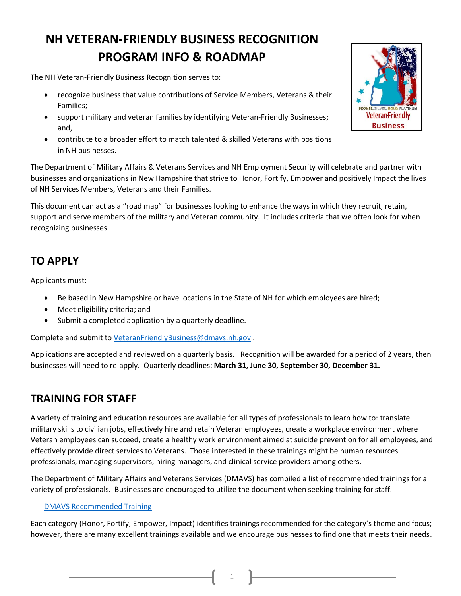# **NH VETERAN‐FRIENDLY BUSINESS RECOGNITION PROGRAM INFO & ROADMAP**

The NH Veteran‐Friendly Business Recognition serves to:

- recognize business that value contributions of Service Members, Veterans & their Families;
- support military and veteran families by identifying Veteran‐Friendly Businesses; and,
- contribute to a broader effort to match talented & skilled Veterans with positions in NH businesses.

The Department of Military Affairs & Veterans Services and NH Employment Security will celebrate and partner with businesses and organizations in New Hampshire that strive to Honor, Fortify, Empower and positively Impact the lives of NH Services Members, Veterans and their Families.

This document can act as a "road map" for businesses looking to enhance the ways in which they recruit, retain, support and serve members of the military and Veteran community. It includes criteria that we often look for when recognizing businesses.

# **TO APPLY**

Applicants must:

- Be based in New Hampshire or have locations in the State of NH for which employees are hired;
- Meet eligibility criteria; and
- Submit a completed application by a quarterly deadline.

Complete and submit to [VeteranFriendlyBusiness@dmavs.nh.gov](mailto:VeteranFriendlyBusiness@dmavs.nh.gov) .

Applications are accepted and reviewed on a quarterly basis. Recognition will be awarded for a period of 2 years, then businesses will need to re‐apply. Quarterly deadlines: **March 31, June 30, September 30, December 31.** 

# **TRAINING FOR STAFF**

A variety of training and education resources are available for all types of professionals to learn how to: translate military skills to civilian jobs, effectively hire and retain Veteran employees, create a workplace environment where Veteran employees can succeed, create a healthy work environment aimed at suicide prevention for all employees, and effectively provide direct services to Veterans. Those interested in these trainings might be human resources professionals, managing supervisors, hiring managers, and clinical service providers among others.

The Department of Military Affairs and Veterans Services (DMAVS) has compiled a list of recommended trainings for a variety of professionals. Businesses are encouraged to utilize the document when seeking training for staff.

## [DMAVS Recommended Training](https://www.dmavs.nh.gov/sites/g/files/ehbemt401/files/inline-documents/sonh/mcc-training-recommendations_spc-mv-final-11-4-20.pdf)

Each category (Honor, Fortify, Empower, Impact) identifies trainings recommended for the category's theme and focus; however, there are many excellent trainings available and we encourage businesses to find one that meets their needs.

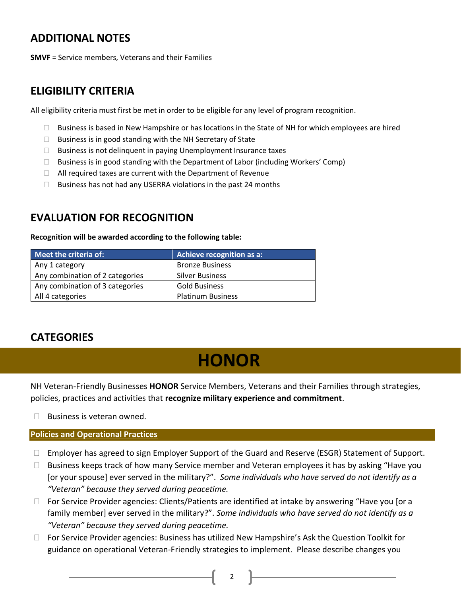# **ADDITIONAL NOTES**

**SMVF** = Service members, Veterans and their Families

## **ELIGIBILITY CRITERIA**

All eligibility criteria must first be met in order to be eligible for any level of program recognition.

- $\Box$  Business is based in New Hampshire or has locations in the State of NH for which employees are hired
- $\Box$  Business is in good standing with the NH Secretary of State
- $\Box$  Business is not delinquent in paying Unemployment Insurance taxes
- $\Box$  Business is in good standing with the Department of Labor (including Workers' Comp)
- $\Box$  All required taxes are current with the Department of Revenue
- $\Box$  Business has not had any USERRA violations in the past 24 months

# **EVALUATION FOR RECOGNITION**

**Recognition will be awarded according to the following table:**

| Meet the criteria of:           | Achieve recognition as a: |
|---------------------------------|---------------------------|
| Any 1 category                  | <b>Bronze Business</b>    |
| Any combination of 2 categories | <b>Silver Business</b>    |
| Any combination of 3 categories | <b>Gold Business</b>      |
| All 4 categories                | <b>Platinum Business</b>  |

# **CATEGORIES**

# **HONOR**

NH Veteran-Friendly Businesses **HONOR** Service Members, Veterans and their Families through strategies, policies, practices and activities that **recognize military experience and commitment**.

 $\Box$  Business is veteran owned.

## **Policies and Operational Practices**

- □ Employer has agreed to sign Employer Support of the Guard and Reserve (ESGR) Statement of Support.
- $\Box$  Business keeps track of how many Service member and Veteran employees it has by asking "Have you [or your spouse] ever served in the military?". *Some individuals who have served do not identify as a "Veteran" because they served during peacetime.*
- $\Box$  For Service Provider agencies: Clients/Patients are identified at intake by answering "Have you [or a family member] ever served in the military?". *Some individuals who have served do not identify as a "Veteran" because they served during peacetime.*
- □ For Service Provider agencies: Business has utilized New Hampshire's Ask the Question Toolkit for guidance on operational Veteran-Friendly strategies to implement. Please describe changes you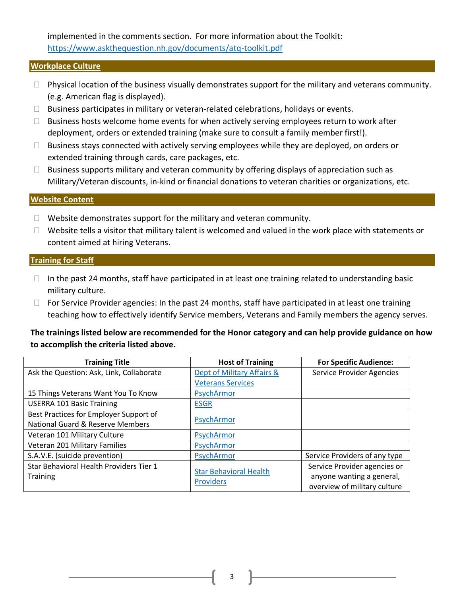implemented in the comments section. For more information about the Toolkit: <https://www.askthequestion.nh.gov/documents/atq-toolkit.pdf>

#### **Workplace Culture**

- $\Box$  Physical location of the business visually demonstrates support for the military and veterans community. (e.g. American flag is displayed).
- $\Box$  Business participates in military or veteran-related celebrations, holidays or events.
- $\Box$  Business hosts welcome home events for when actively serving employees return to work after deployment, orders or extended training (make sure to consult a family member first!).
- $\Box$  Business stays connected with actively serving employees while they are deployed, on orders or extended training through cards, care packages, etc.
- $\Box$  Business supports military and veteran community by offering displays of appreciation such as Military/Veteran discounts, in‐kind or financial donations to veteran charities or organizations, etc.

### **Website Content**

- $\Box$  Website demonstrates support for the military and veteran community.
- $\Box$  Website tells a visitor that military talent is welcomed and valued in the work place with statements or content aimed at hiring Veterans.

#### **Training for Staff**

- $\Box$  In the past 24 months, staff have participated in at least one training related to understanding basic military culture.
- $\Box$  For Service Provider agencies: In the past 24 months, staff have participated in at least one training teaching how to effectively identify Service members, Veterans and Family members the agency serves.

**The trainings listed below are recommended for the Honor category and can help provide guidance on how to accomplish the criteria listed above.**

| <b>Training Title</b>                       | <b>Host of Training</b>       | <b>For Specific Audience:</b>    |
|---------------------------------------------|-------------------------------|----------------------------------|
| Ask the Question: Ask, Link, Collaborate    | Dept of Military Affairs &    | <b>Service Provider Agencies</b> |
|                                             | <b>Veterans Services</b>      |                                  |
| 15 Things Veterans Want You To Know         | PsychArmor                    |                                  |
| <b>USERRA 101 Basic Training</b>            | <b>ESGR</b>                   |                                  |
| Best Practices for Employer Support of      | PsychArmor                    |                                  |
| <b>National Guard &amp; Reserve Members</b> |                               |                                  |
| Veteran 101 Military Culture                | PsychArmor                    |                                  |
| Veteran 201 Military Families               | PsychArmor                    |                                  |
| S.A.V.E. (suicide prevention)               | PsychArmor                    | Service Providers of any type    |
| Star Behavioral Health Providers Tier 1     |                               | Service Provider agencies or     |
| <b>Training</b>                             | <b>Star Behavioral Health</b> | anyone wanting a general,        |
|                                             | <b>Providers</b>              | overview of military culture     |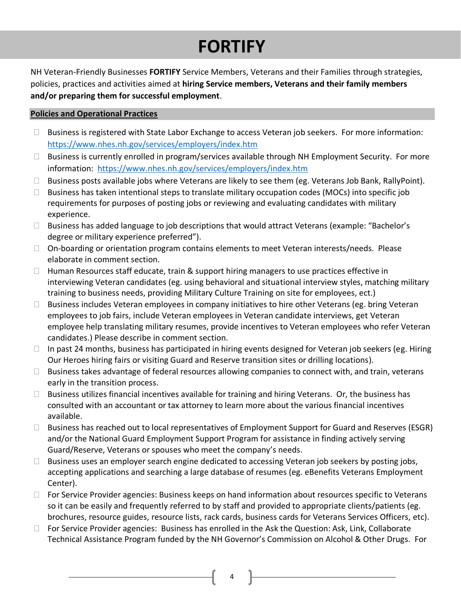# **FORTIFY**

NH Veteran-Friendly Businesses **FORTIFY** Service Members, Veterans and their Families through strategies, policies, practices and activities aimed at **hiring Service members, Veterans and their family members and/or preparing them for successful employment**.

## **Policies and Operational Practices**

- □ Business is registered with State Labor Exchange to access Veteran job seekers. For more information: <https://www.nhes.nh.gov/services/employers/index.htm>
- $\Box$  Business is currently enrolled in program/services available through NH Employment Security. For more information: <https://www.nhes.nh.gov/services/employers/index.htm>
- $\Box$  Business posts available jobs where Veterans are likely to see them (eg. Veterans Job Bank, RallyPoint).
- $\Box$  Business has taken intentional steps to translate military occupation codes (MOCs) into specific job requirements for purposes of posting jobs or reviewing and evaluating candidates with military experience.
- $\Box$  Business has added language to job descriptions that would attract Veterans (example: "Bachelor's degree or military experience preferred").
- □ On-boarding or orientation program contains elements to meet Veteran interests/needs. Please elaborate in comment section.
- $\Box$  Human Resources staff educate, train & support hiring managers to use practices effective in interviewing Veteran candidates (eg. using behavioral and situational interview styles, matching military training to business needs, providing Military Culture Training on site for employees, ect.)
- $\Box$  Business includes Veteran employees in company initiatives to hire other Veterans (eg. bring Veteran employees to job fairs, include Veteran employees in Veteran candidate interviews, get Veteran employee help translating military resumes, provide incentives to Veteran employees who refer Veteran candidates.) Please describe in comment section.
- $\Box$  In past 24 months, business has participated in hiring events designed for Veteran job seekers (eg. Hiring Our Heroes hiring fairs or visiting Guard and Reserve transition sites or drilling locations).
- $\Box$  Business takes advantage of federal resources allowing companies to connect with, and train, veterans early in the transition process.
- $\Box$  Business utilizes financial incentives available for training and hiring Veterans. Or, the business has consulted with an accountant or tax attorney to learn more about the various financial incentives available.
- $\Box$  Business has reached out to local representatives of Employment Support for Guard and Reserves (ESGR) and/or the National Guard Employment Support Program for assistance in finding actively serving Guard/Reserve, Veterans or spouses who meet the company's needs.
- $\Box$  Business uses an employer search engine dedicated to accessing Veteran job seekers by posting jobs, accepting applications and searching a large database of resumes (eg. eBenefits Veterans Employment Center).
- $\Box$  For Service Provider agencies: Business keeps on hand information about resources specific to Veterans so it can be easily and frequently referred to by staff and provided to appropriate clients/patients (eg. brochures, resource guides, resource lists, rack cards, business cards for Veterans Services Officers, etc).
- $\Box$  For Service Provider agencies: Business has enrolled in the Ask the Question: Ask, Link, Collaborate Technical Assistance Program funded by the NH Governor's Commission on Alcohol & Other Drugs. For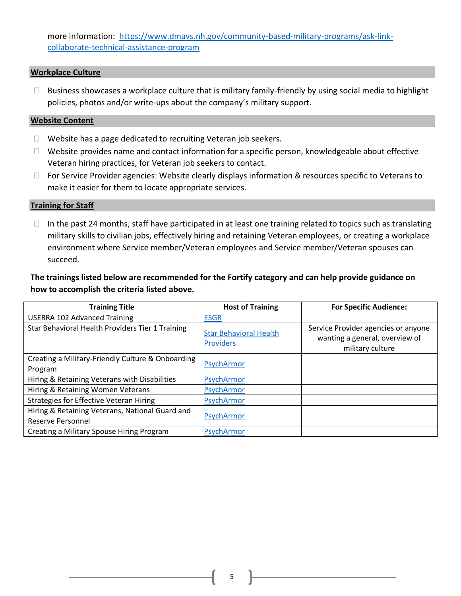more information: [https://www.dmavs.nh.gov/community-based-military-programs/ask-link](https://www.dmavs.nh.gov/community-based-military-programs/ask-link-collaborate-technical-assistance-program)[collaborate-technical-assistance-program](https://www.dmavs.nh.gov/community-based-military-programs/ask-link-collaborate-technical-assistance-program)

### **Workplace Culture**

 $\Box$  Business showcases a workplace culture that is military family-friendly by using social media to highlight policies, photos and/or write-ups about the company's military support.

### **Website Content**

- $\Box$  Website has a page dedicated to recruiting Veteran job seekers.
- $\Box$  Website provides name and contact information for a specific person, knowledgeable about effective Veteran hiring practices, for Veteran job seekers to contact.
- □ For Service Provider agencies: Website clearly displays information & resources specific to Veterans to make it easier for them to locate appropriate services.

### **Training for Staff**

 $\Box$  In the past 24 months, staff have participated in at least one training related to topics such as translating military skills to civilian jobs, effectively hiring and retaining Veteran employees, or creating a workplace environment where Service member/Veteran employees and Service member/Veteran spouses can succeed.

## **The trainings listed below are recommended for the Fortify category and can help provide guidance on how to accomplish the criteria listed above.**

| <b>Training Title</b>                                                       | <b>Host of Training</b>                           | <b>For Specific Audience:</b>                                                             |
|-----------------------------------------------------------------------------|---------------------------------------------------|-------------------------------------------------------------------------------------------|
| <b>USERRA 102 Advanced Training</b>                                         | <b>ESGR</b>                                       |                                                                                           |
| Star Behavioral Health Providers Tier 1 Training                            | <b>Star Behavioral Health</b><br><b>Providers</b> | Service Provider agencies or anyone<br>wanting a general, overview of<br>military culture |
| Creating a Military-Friendly Culture & Onboarding<br>Program                | PsychArmor                                        |                                                                                           |
| Hiring & Retaining Veterans with Disabilities                               | PsychArmor                                        |                                                                                           |
| Hiring & Retaining Women Veterans                                           | PsychArmor                                        |                                                                                           |
| <b>Strategies for Effective Veteran Hiring</b>                              | PsychArmor                                        |                                                                                           |
| Hiring & Retaining Veterans, National Guard and<br><b>Reserve Personnel</b> | PsychArmor                                        |                                                                                           |
| Creating a Military Spouse Hiring Program                                   | PsychArmor                                        |                                                                                           |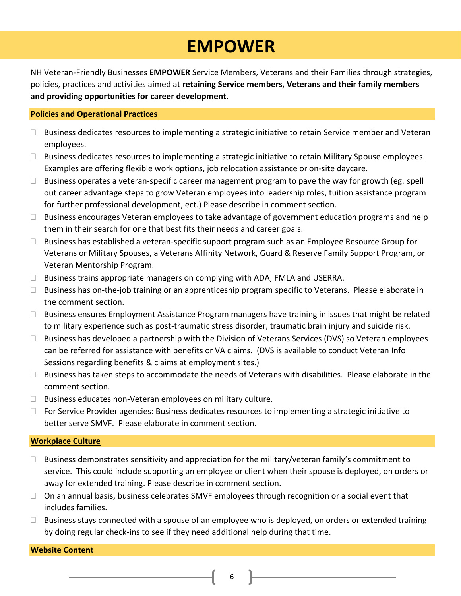# **EMPOWER**

NH Veteran-Friendly Businesses **EMPOWER** Service Members, Veterans and their Families through strategies, policies, practices and activities aimed at **retaining Service members, Veterans and their family members and providing opportunities for career development**.

## **Policies and Operational Practices**

- $\Box$  Business dedicates resources to implementing a strategic initiative to retain Service member and Veteran employees.
- □ Business dedicates resources to implementing a strategic initiative to retain Military Spouse employees. Examples are offering flexible work options, job relocation assistance or on-site daycare.
- $\Box$  Business operates a veteran-specific career management program to pave the way for growth (eg. spell out career advantage steps to grow Veteran employees into leadership roles, tuition assistance program for further professional development, ect.) Please describe in comment section.
- $\Box$  Business encourages Veteran employees to take advantage of government education programs and help them in their search for one that best fits their needs and career goals.
- $\Box$  Business has established a veteran-specific support program such as an Employee Resource Group for Veterans or Military Spouses, a Veterans Affinity Network, Guard & Reserve Family Support Program, or Veteran Mentorship Program.
- $\Box$  Business trains appropriate managers on complying with ADA, FMLA and USERRA.
- $\Box$  Business has on-the-job training or an apprenticeship program specific to Veterans. Please elaborate in the comment section.
- □ Business ensures Employment Assistance Program managers have training in issues that might be related to military experience such as post-traumatic stress disorder, traumatic brain injury and suicide risk.
- $\Box$  Business has developed a partnership with the Division of Veterans Services (DVS) so Veteran employees can be referred for assistance with benefits or VA claims. (DVS is available to conduct Veteran Info Sessions regarding benefits & claims at employment sites.)
- $\Box$  Business has taken steps to accommodate the needs of Veterans with disabilities. Please elaborate in the comment section.
- $\Box$  Business educates non-Veteran employees on military culture.
- $\Box$  For Service Provider agencies: Business dedicates resources to implementing a strategic initiative to better serve SMVF. Please elaborate in comment section.

## **Workplace Culture**

- $\Box$  Business demonstrates sensitivity and appreciation for the military/veteran family's commitment to service. This could include supporting an employee or client when their spouse is deployed, on orders or away for extended training. Please describe in comment section.
- $\Box$  On an annual basis, business celebrates SMVF employees through recognition or a social event that includes families.
- $\Box$  Business stays connected with a spouse of an employee who is deployed, on orders or extended training by doing regular check-ins to see if they need additional help during that time.

#### **Website Content**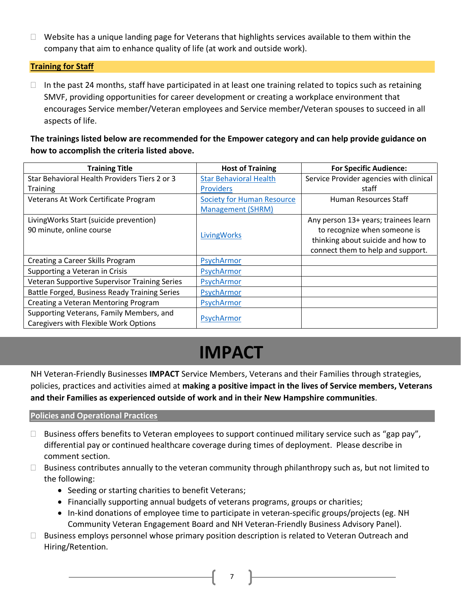$\Box$  Website has a unique landing page for Veterans that highlights services available to them within the company that aim to enhance quality of life (at work and outside work).

## **Training for Staff**

 $\Box$  In the past 24 months, staff have participated in at least one training related to topics such as retaining SMVF, providing opportunities for career development or creating a workplace environment that encourages Service member/Veteran employees and Service member/Veteran spouses to succeed in all aspects of life.

**The trainings listed below are recommended for the Empower category and can help provide guidance on how to accomplish the criteria listed above.**

| <b>Training Title</b>                         | <b>Host of Training</b>           | <b>For Specific Audience:</b>           |
|-----------------------------------------------|-----------------------------------|-----------------------------------------|
| Star Behavioral Health Providers Tiers 2 or 3 | <b>Star Behavioral Health</b>     | Service Provider agencies with clinical |
| <b>Training</b>                               | <b>Providers</b>                  | staff                                   |
| Veterans At Work Certificate Program          | <b>Society for Human Resource</b> | Human Resources Staff                   |
|                                               | <b>Management (SHRM)</b>          |                                         |
| LivingWorks Start (suicide prevention)        |                                   | Any person 13+ years; trainees learn    |
| 90 minute, online course                      | LivingWorks                       | to recognize when someone is            |
|                                               |                                   | thinking about suicide and how to       |
|                                               |                                   | connect them to help and support.       |
| Creating a Career Skills Program              | PsychArmor                        |                                         |
| Supporting a Veteran in Crisis                | PsychArmor                        |                                         |
| Veteran Supportive Supervisor Training Series | PsychArmor                        |                                         |
| Battle Forged, Business Ready Training Series | PsychArmor                        |                                         |
| Creating a Veteran Mentoring Program          | PsychArmor                        |                                         |
| Supporting Veterans, Family Members, and      |                                   |                                         |
| Caregivers with Flexible Work Options         | PsychArmor                        |                                         |

# **IMPACT**

NH Veteran-Friendly Businesses **IMPACT** Service Members, Veterans and their Families through strategies, policies, practices and activities aimed at **making a positive impact in the lives of Service members, Veterans and their Families as experienced outside of work and in their New Hampshire communities**.

## **Policies and Operational Practices**

- $\Box$  Business offers benefits to Veteran employees to support continued military service such as "gap pay", differential pay or continued healthcare coverage during times of deployment. Please describe in comment section.
- $\Box$  Business contributes annually to the veteran community through philanthropy such as, but not limited to the following:
	- Seeding or starting charities to benefit Veterans;
	- Financially supporting annual budgets of veterans programs, groups or charities;
	- In-kind donations of employee time to participate in veteran-specific groups/projects (eg. NH Community Veteran Engagement Board and NH Veteran-Friendly Business Advisory Panel).
- $\Box$  Business employs personnel whose primary position description is related to Veteran Outreach and Hiring/Retention.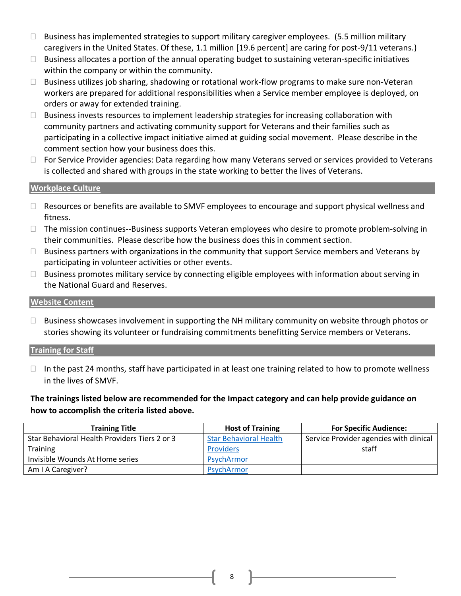- $\Box$  Business has implemented strategies to support military caregiver employees. (5.5 million military caregivers in the United States. Of these, 1.1 million [19.6 percent] are caring for post-9/11 veterans.)
- $\Box$  Business allocates a portion of the annual operating budget to sustaining veteran-specific initiatives within the company or within the community.
- $\Box$  Business utilizes job sharing, shadowing or rotational work-flow programs to make sure non-Veteran workers are prepared for additional responsibilities when a Service member employee is deployed, on orders or away for extended training.
- $\Box$  Business invests resources to implement leadership strategies for increasing collaboration with community partners and activating community support for Veterans and their families such as participating in a collective impact initiative aimed at guiding social movement. Please describe in the comment section how your business does this.
- $\Box$  For Service Provider agencies: Data regarding how many Veterans served or services provided to Veterans is collected and shared with groups in the state working to better the lives of Veterans.

## **Workplace Culture**

- □ Resources or benefits are available to SMVF employees to encourage and support physical wellness and fitness.
- □ The mission continues--Business supports Veteran employees who desire to promote problem-solving in their communities. Please describe how the business does this in comment section.
- $\Box$  Business partners with organizations in the community that support Service members and Veterans by participating in volunteer activities or other events.
- $\Box$  Business promotes military service by connecting eligible employees with information about serving in the National Guard and Reserves.

## **Website Content**

 $\Box$  Business showcases involvement in supporting the NH military community on website through photos or stories showing its volunteer or fundraising commitments benefitting Service members or Veterans.

## **Training for Staff**

 $\Box$  In the past 24 months, staff have participated in at least one training related to how to promote wellness in the lives of SMVF.

**The trainings listed below are recommended for the Impact category and can help provide guidance on how to accomplish the criteria listed above.**

| <b>Training Title</b>                         | <b>Host of Training</b>       | <b>For Specific Audience:</b>           |
|-----------------------------------------------|-------------------------------|-----------------------------------------|
| Star Behavioral Health Providers Tiers 2 or 3 | <b>Star Behavioral Health</b> | Service Provider agencies with clinical |
| <b>Training</b>                               | <b>Providers</b>              | staff                                   |
| Invisible Wounds At Home series               | PsychArmor                    |                                         |
| Am I A Caregiver?                             | PsychArmor                    |                                         |